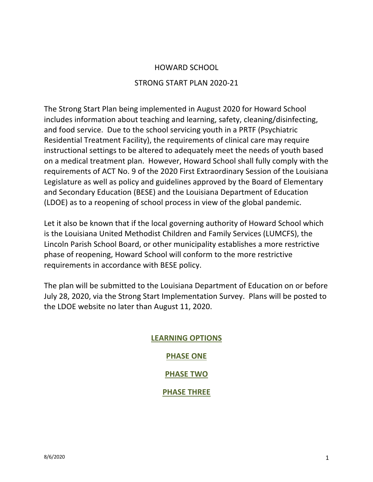# HOWARD SCHOOL

## STRONG START PLAN 2020-21

The Strong Start Plan being implemented in August 2020 for Howard School includes information about teaching and learning, safety, cleaning/disinfecting, and food service. Due to the school servicing youth in a PRTF (Psychiatric Residential Treatment Facility), the requirements of clinical care may require instructional settings to be altered to adequately meet the needs of youth based on a medical treatment plan. However, Howard School shall fully comply with the requirements of ACT No. 9 of the 2020 First Extraordinary Session of the Louisiana Legislature as well as policy and guidelines approved by the Board of Elementary and Secondary Education (BESE) and the Louisiana Department of Education (LDOE) as to a reopening of school process in view of the global pandemic.

Let it also be known that if the local governing authority of Howard School which is the Louisiana United Methodist Children and Family Services (LUMCFS), the Lincoln Parish School Board, or other municipality establishes a more restrictive phase of reopening, Howard School will conform to the more restrictive requirements in accordance with BESE policy.

The plan will be submitted to the Louisiana Department of Education on or before July 28, 2020, via the Strong Start Implementation Survey. Plans will be posted to the LDOE website no later than August 11, 2020.

# **LEARNING OPTIONS PHASE ONE PHASE TWO PHASE THREE**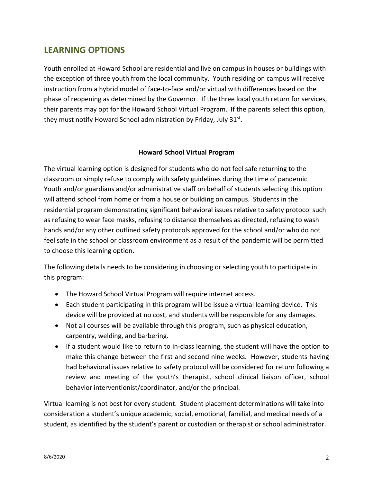# **LEARNING OPTIONS**

Youth enrolled at Howard School are residential and live on campus in houses or buildings with the exception of three youth from the local community. Youth residing on campus will receive instruction from a hybrid model of face-to-face and/or virtual with differences based on the phase of reopening as determined by the Governor. If the three local youth return for services, their parents may opt for the Howard School Virtual Program. If the parents select this option, they must notify Howard School administration by Friday, July 31<sup>st</sup>.

## **Howard School Virtual Program**

The virtual learning option is designed for students who do not feel safe returning to the classroom or simply refuse to comply with safety guidelines during the time of pandemic. Youth and/or guardians and/or administrative staff on behalf of students selecting this option will attend school from home or from a house or building on campus. Students in the residential program demonstrating significant behavioral issues relative to safety protocol such as refusing to wear face masks, refusing to distance themselves as directed, refusing to wash hands and/or any other outlined safety protocols approved for the school and/or who do not feel safe in the school or classroom environment as a result of the pandemic will be permitted to choose this learning option.

The following details needs to be considering in choosing or selecting youth to participate in this program:

- The Howard School Virtual Program will require internet access.
- Each student participating in this program will be issue a virtual learning device. This device will be provided at no cost, and students will be responsible for any damages.
- Not all courses will be available through this program, such as physical education, carpentry, welding, and barbering.
- If a student would like to return to in-class learning, the student will have the option to make this change between the first and second nine weeks. However, students having had behavioral issues relative to safety protocol will be considered for return following a review and meeting of the youth's therapist, school clinical liaison officer, school behavior interventionist/coordinator, and/or the principal.

Virtual learning is not best for every student. Student placement determinations will take into consideration a student's unique academic, social, emotional, familial, and medical needs of a student, as identified by the student's parent or custodian or therapist or school administrator.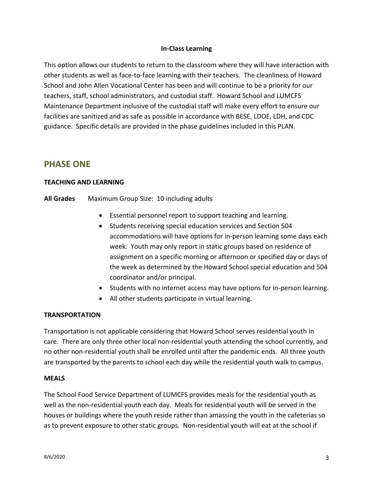## **In-Class Learning**

This option allows our students to return to the classroom where they will have interaction with other students as well as face-to-face learning with their teachers. The cleanliness of Howard School and John Allen Vocational Center has been and will continue to be a priority for our teachers, staff, school administrators, and custodial staff. Howard School and LUMCFS Maintenance Department inclusive of the custodial staff will make every effort to ensure our facilities are sanitized and as safe as possible in accordance with BESE, LDOE, LDH, and CDC guidance. Specific details are provided in the phase guidelines included in this PLAN.

# **PHASE ONE**

### **TEACHING AND LEARNING**

#### **All Grades** Maximum Group Size: 10 including adults

- Essential personnel report to support teaching and learning.
- Students receiving special education services and Section 504 accommodations will have options for in-person learning some days each week. Youth may only report in static groups based on residence of assignment on a specific morning or afternoon or specified day or days of the week as determined by the Howard School special education and 504 coordinator and/or principal.
- Students with no internet access may have options for in-person learning.
- All other students participate in virtual learning.

### **TRANSPORTATION**

Transportation is not applicable considering that Howard School serves residential youth in care. There are only three other local non-residential youth attending the school currently, and no other non-residential youth shall be enrolled until after the pandemic ends. All three youth are transported by the parents to school each day while the residential youth walk to campus.

### **MEALS**

The School Food Service Department of LUMCFS provides meals for the residential youth as well as the non-residential youth each day. Meals for residential youth will be served in the houses or buildings where the youth reside rather than amassing the youth in the cafeterias so as to prevent exposure to other static groups. Non-residential youth will eat at the school if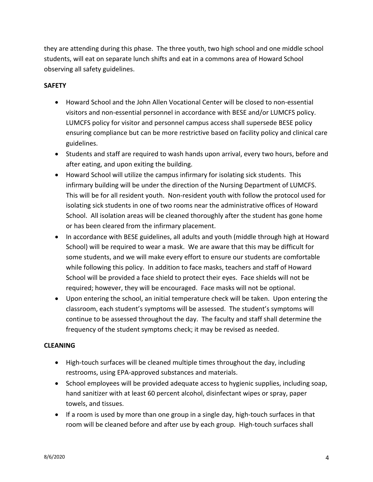they are attending during this phase. The three youth, two high school and one middle school students, will eat on separate lunch shifts and eat in a commons area of Howard School observing all safety guidelines.

## **SAFETY**

- Howard School and the John Allen Vocational Center will be closed to non-essential visitors and non-essential personnel in accordance with BESE and/or LUMCFS policy. LUMCFS policy for visitor and personnel campus access shall supersede BESE policy ensuring compliance but can be more restrictive based on facility policy and clinical care guidelines.
- Students and staff are required to wash hands upon arrival, every two hours, before and after eating, and upon exiting the building.
- Howard School will utilize the campus infirmary for isolating sick students. This infirmary building will be under the direction of the Nursing Department of LUMCFS. This will be for all resident youth. Non-resident youth with follow the protocol used for isolating sick students in one of two rooms near the administrative offices of Howard School. All isolation areas will be cleaned thoroughly after the student has gone home or has been cleared from the infirmary placement.
- In accordance with BESE guidelines, all adults and youth (middle through high at Howard School) will be required to wear a mask. We are aware that this may be difficult for some students, and we will make every effort to ensure our students are comfortable while following this policy. In addition to face masks, teachers and staff of Howard School will be provided a face shield to protect their eyes. Face shields will not be required; however, they will be encouraged. Face masks will not be optional.
- Upon entering the school, an initial temperature check will be taken. Upon entering the classroom, each student's symptoms will be assessed. The student's symptoms will continue to be assessed throughout the day. The faculty and staff shall determine the frequency of the student symptoms check; it may be revised as needed.

### **CLEANING**

- High-touch surfaces will be cleaned multiple times throughout the day, including restrooms, using EPA-approved substances and materials.
- School employees will be provided adequate access to hygienic supplies, including soap, hand sanitizer with at least 60 percent alcohol, disinfectant wipes or spray, paper towels, and tissues.
- If a room is used by more than one group in a single day, high-touch surfaces in that room will be cleaned before and after use by each group. High-touch surfaces shall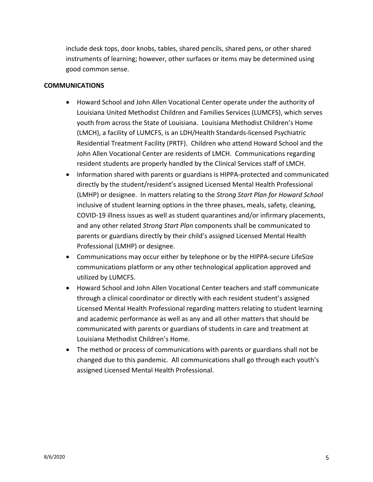include desk tops, door knobs, tables, shared pencils, shared pens, or other shared instruments of learning; however, other surfaces or items may be determined using good common sense.

#### **COMMUNICATIONS**

- Howard School and John Allen Vocational Center operate under the authority of Louisiana United Methodist Children and Families Services (LUMCFS), which serves youth from across the State of Louisiana. Louisiana Methodist Children's Home (LMCH), a facility of LUMCFS, is an LDH/Health Standards-licensed Psychiatric Residential Treatment Facility (PRTF). Children who attend Howard School and the John Allen Vocational Center are residents of LMCH. Communications regarding resident students are properly handled by the Clinical Services staff of LMCH.
- Information shared with parents or guardians is HIPPA-protected and communicated directly by the student/resident's assigned Licensed Mental Health Professional (LMHP) or designee. In matters relating to the *Strong Start Plan for Howard School* inclusive of student learning options in the three phases, meals, safety, cleaning, COVID-19 illness issues as well as student quarantines and/or infirmary placements, and any other related *Strong Start Plan* components shall be communicated to parents or guardians directly by their child's assigned Licensed Mental Health Professional (LMHP) or designee.
- Communications may occur either by telephone or by the HIPPA-secure LifeSize communications platform or any other technological application approved and utilized by LUMCFS.
- Howard School and John Allen Vocational Center teachers and staff communicate through a clinical coordinator or directly with each resident student's assigned Licensed Mental Health Professional regarding matters relating to student learning and academic performance as well as any and all other matters that should be communicated with parents or guardians of students in care and treatment at Louisiana Methodist Children's Home.
- The method or process of communications with parents or guardians shall not be changed due to this pandemic. All communications shall go through each youth's assigned Licensed Mental Health Professional.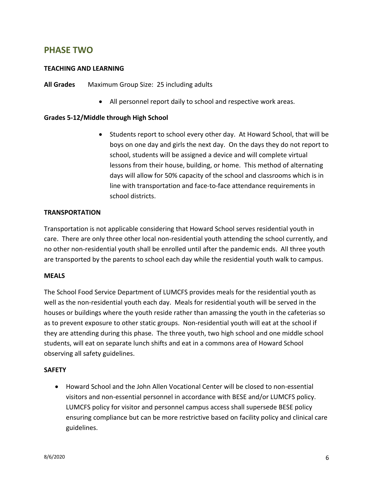# **PHASE TWO**

## **TEACHING AND LEARNING**

**All Grades** Maximum Group Size: 25 including adults

• All personnel report daily to school and respective work areas.

### **Grades 5-12/Middle through High School**

• Students report to school every other day. At Howard School, that will be boys on one day and girls the next day. On the days they do not report to school, students will be assigned a device and will complete virtual lessons from their house, building, or home. This method of alternating days will allow for 50% capacity of the school and classrooms which is in line with transportation and face-to-face attendance requirements in school districts.

#### **TRANSPORTATION**

Transportation is not applicable considering that Howard School serves residential youth in care. There are only three other local non-residential youth attending the school currently, and no other non-residential youth shall be enrolled until after the pandemic ends. All three youth are transported by the parents to school each day while the residential youth walk to campus.

#### **MEALS**

The School Food Service Department of LUMCFS provides meals for the residential youth as well as the non-residential youth each day. Meals for residential youth will be served in the houses or buildings where the youth reside rather than amassing the youth in the cafeterias so as to prevent exposure to other static groups. Non-residential youth will eat at the school if they are attending during this phase. The three youth, two high school and one middle school students, will eat on separate lunch shifts and eat in a commons area of Howard School observing all safety guidelines.

#### **SAFETY**

• Howard School and the John Allen Vocational Center will be closed to non-essential visitors and non-essential personnel in accordance with BESE and/or LUMCFS policy. LUMCFS policy for visitor and personnel campus access shall supersede BESE policy ensuring compliance but can be more restrictive based on facility policy and clinical care guidelines.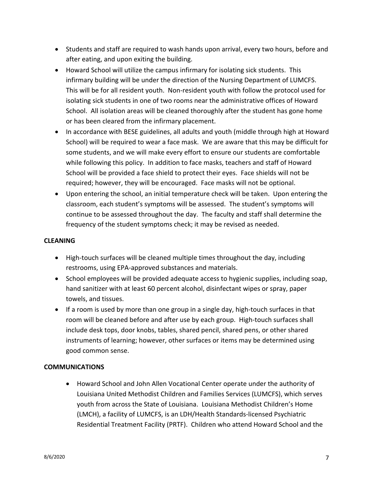- Students and staff are required to wash hands upon arrival, every two hours, before and after eating, and upon exiting the building.
- Howard School will utilize the campus infirmary for isolating sick students. This infirmary building will be under the direction of the Nursing Department of LUMCFS. This will be for all resident youth. Non-resident youth with follow the protocol used for isolating sick students in one of two rooms near the administrative offices of Howard School. All isolation areas will be cleaned thoroughly after the student has gone home or has been cleared from the infirmary placement.
- In accordance with BESE guidelines, all adults and youth (middle through high at Howard School) will be required to wear a face mask. We are aware that this may be difficult for some students, and we will make every effort to ensure our students are comfortable while following this policy. In addition to face masks, teachers and staff of Howard School will be provided a face shield to protect their eyes. Face shields will not be required; however, they will be encouraged. Face masks will not be optional.
- Upon entering the school, an initial temperature check will be taken. Upon entering the classroom, each student's symptoms will be assessed. The student's symptoms will continue to be assessed throughout the day. The faculty and staff shall determine the frequency of the student symptoms check; it may be revised as needed.

## **CLEANING**

- High-touch surfaces will be cleaned multiple times throughout the day, including restrooms, using EPA-approved substances and materials.
- School employees will be provided adequate access to hygienic supplies, including soap, hand sanitizer with at least 60 percent alcohol, disinfectant wipes or spray, paper towels, and tissues.
- If a room is used by more than one group in a single day, high-touch surfaces in that room will be cleaned before and after use by each group. High-touch surfaces shall include desk tops, door knobs, tables, shared pencil, shared pens, or other shared instruments of learning; however, other surfaces or items may be determined using good common sense.

### **COMMUNICATIONS**

• Howard School and John Allen Vocational Center operate under the authority of Louisiana United Methodist Children and Families Services (LUMCFS), which serves youth from across the State of Louisiana. Louisiana Methodist Children's Home (LMCH), a facility of LUMCFS, is an LDH/Health Standards-licensed Psychiatric Residential Treatment Facility (PRTF). Children who attend Howard School and the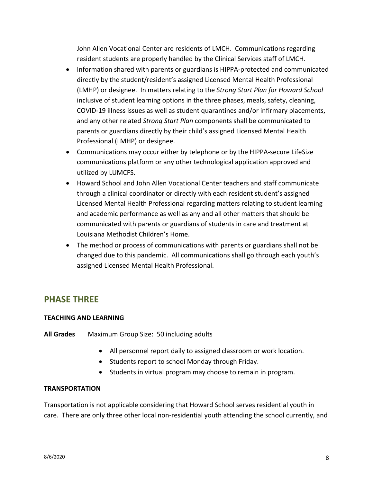John Allen Vocational Center are residents of LMCH. Communications regarding resident students are properly handled by the Clinical Services staff of LMCH.

- Information shared with parents or guardians is HIPPA-protected and communicated directly by the student/resident's assigned Licensed Mental Health Professional (LMHP) or designee. In matters relating to the *Strong Start Plan for Howard School* inclusive of student learning options in the three phases, meals, safety, cleaning, COVID-19 illness issues as well as student quarantines and/or infirmary placements, and any other related *Strong Start Plan* components shall be communicated to parents or guardians directly by their child's assigned Licensed Mental Health Professional (LMHP) or designee.
- Communications may occur either by telephone or by the HIPPA-secure LifeSize communications platform or any other technological application approved and utilized by LUMCFS.
- Howard School and John Allen Vocational Center teachers and staff communicate through a clinical coordinator or directly with each resident student's assigned Licensed Mental Health Professional regarding matters relating to student learning and academic performance as well as any and all other matters that should be communicated with parents or guardians of students in care and treatment at Louisiana Methodist Children's Home.
- The method or process of communications with parents or guardians shall not be changed due to this pandemic. All communications shall go through each youth's assigned Licensed Mental Health Professional.

# **PHASE THREE**

### **TEACHING AND LEARNING**

**All Grades** Maximum Group Size: 50 including adults

- All personnel report daily to assigned classroom or work location.
- Students report to school Monday through Friday.
- Students in virtual program may choose to remain in program.

### **TRANSPORTATION**

Transportation is not applicable considering that Howard School serves residential youth in care. There are only three other local non-residential youth attending the school currently, and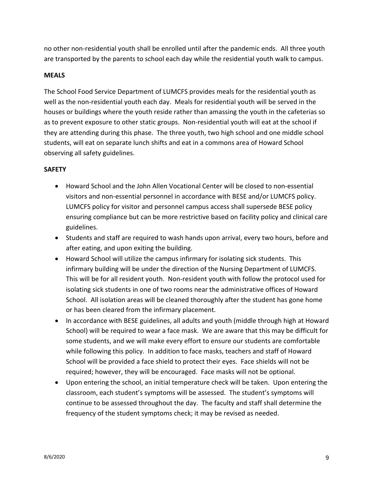no other non-residential youth shall be enrolled until after the pandemic ends. All three youth are transported by the parents to school each day while the residential youth walk to campus.

#### **MEALS**

The School Food Service Department of LUMCFS provides meals for the residential youth as well as the non-residential youth each day. Meals for residential youth will be served in the houses or buildings where the youth reside rather than amassing the youth in the cafeterias so as to prevent exposure to other static groups. Non-residential youth will eat at the school if they are attending during this phase. The three youth, two high school and one middle school students, will eat on separate lunch shifts and eat in a commons area of Howard School observing all safety guidelines.

### **SAFETY**

- Howard School and the John Allen Vocational Center will be closed to non-essential visitors and non-essential personnel in accordance with BESE and/or LUMCFS policy. LUMCFS policy for visitor and personnel campus access shall supersede BESE policy ensuring compliance but can be more restrictive based on facility policy and clinical care guidelines.
- Students and staff are required to wash hands upon arrival, every two hours, before and after eating, and upon exiting the building.
- Howard School will utilize the campus infirmary for isolating sick students. This infirmary building will be under the direction of the Nursing Department of LUMCFS. This will be for all resident youth. Non-resident youth with follow the protocol used for isolating sick students in one of two rooms near the administrative offices of Howard School. All isolation areas will be cleaned thoroughly after the student has gone home or has been cleared from the infirmary placement.
- In accordance with BESE guidelines, all adults and youth (middle through high at Howard School) will be required to wear a face mask. We are aware that this may be difficult for some students, and we will make every effort to ensure our students are comfortable while following this policy. In addition to face masks, teachers and staff of Howard School will be provided a face shield to protect their eyes. Face shields will not be required; however, they will be encouraged. Face masks will not be optional.
- Upon entering the school, an initial temperature check will be taken. Upon entering the classroom, each student's symptoms will be assessed. The student's symptoms will continue to be assessed throughout the day. The faculty and staff shall determine the frequency of the student symptoms check; it may be revised as needed.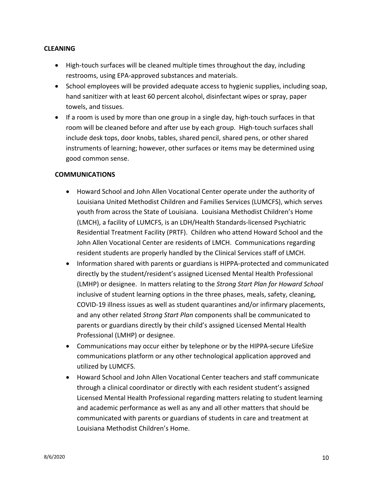### **CLEANING**

- High-touch surfaces will be cleaned multiple times throughout the day, including restrooms, using EPA-approved substances and materials.
- School employees will be provided adequate access to hygienic supplies, including soap, hand sanitizer with at least 60 percent alcohol, disinfectant wipes or spray, paper towels, and tissues.
- If a room is used by more than one group in a single day, high-touch surfaces in that room will be cleaned before and after use by each group. High-touch surfaces shall include desk tops, door knobs, tables, shared pencil, shared pens, or other shared instruments of learning; however, other surfaces or items may be determined using good common sense.

#### **COMMUNICATIONS**

- Howard School and John Allen Vocational Center operate under the authority of Louisiana United Methodist Children and Families Services (LUMCFS), which serves youth from across the State of Louisiana. Louisiana Methodist Children's Home (LMCH), a facility of LUMCFS, is an LDH/Health Standards-licensed Psychiatric Residential Treatment Facility (PRTF). Children who attend Howard School and the John Allen Vocational Center are residents of LMCH. Communications regarding resident students are properly handled by the Clinical Services staff of LMCH.
- Information shared with parents or guardians is HIPPA-protected and communicated directly by the student/resident's assigned Licensed Mental Health Professional (LMHP) or designee. In matters relating to the *Strong Start Plan for Howard School* inclusive of student learning options in the three phases, meals, safety, cleaning, COVID-19 illness issues as well as student quarantines and/or infirmary placements, and any other related *Strong Start Plan* components shall be communicated to parents or guardians directly by their child's assigned Licensed Mental Health Professional (LMHP) or designee.
- Communications may occur either by telephone or by the HIPPA-secure LifeSize communications platform or any other technological application approved and utilized by LUMCFS.
- Howard School and John Allen Vocational Center teachers and staff communicate through a clinical coordinator or directly with each resident student's assigned Licensed Mental Health Professional regarding matters relating to student learning and academic performance as well as any and all other matters that should be communicated with parents or guardians of students in care and treatment at Louisiana Methodist Children's Home.